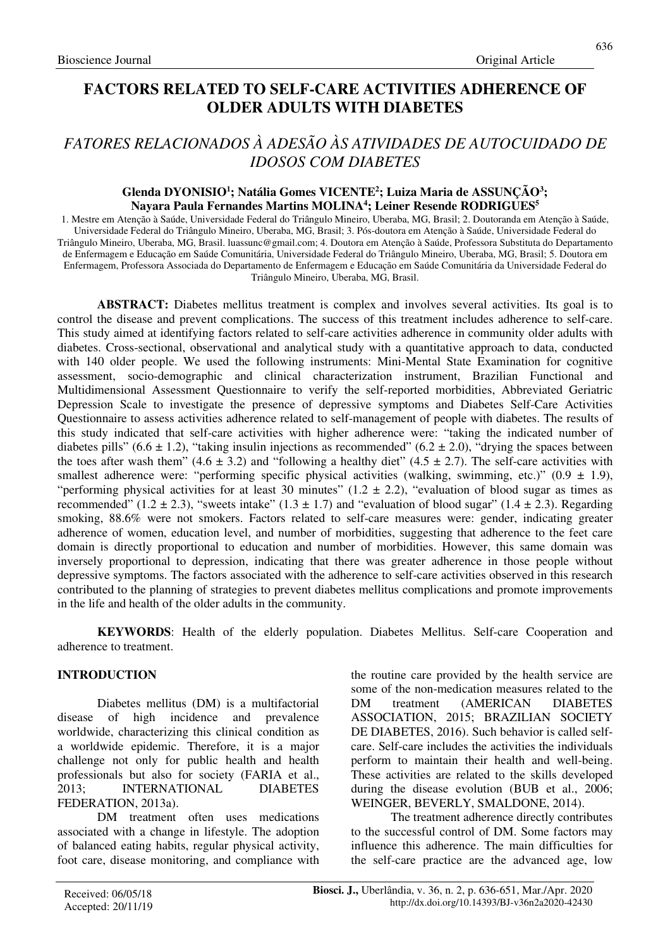## **FACTORS RELATED TO SELF-CARE ACTIVITIES ADHERENCE OF OLDER ADULTS WITH DIABETES**

# *FATORES RELACIONADOS À ADESÃO ÀS ATIVIDADES DE AUTOCUIDADO DE IDOSOS COM DIABETES*

### **Glenda DYONISIO<sup>1</sup> ; Natália Gomes VICENTE<sup>2</sup> ; Luiza Maria de ASSUNÇÃO<sup>3</sup> ; Nayara Paula Fernandes Martins MOLINA<sup>4</sup> ; Leiner Resende RODRIGUES<sup>5</sup>**

1. Mestre em Atenção à Saúde, Universidade Federal do Triângulo Mineiro, Uberaba, MG, Brasil; 2. Doutoranda em Atenção à Saúde, Universidade Federal do Triângulo Mineiro, Uberaba, MG, Brasil; 3. Pós-doutora em Atenção à Saúde, Universidade Federal do Triângulo Mineiro, Uberaba, MG, Brasil. luassunc@gmail.com; 4. Doutora em Atenção à Saúde, Professora Substituta do Departamento de Enfermagem e Educação em Saúde Comunitária, Universidade Federal do Triângulo Mineiro, Uberaba, MG, Brasil; 5. Doutora em Enfermagem, Professora Associada do Departamento de Enfermagem e Educação em Saúde Comunitária da Universidade Federal do Triângulo Mineiro, Uberaba, MG, Brasil.

**ABSTRACT:** Diabetes mellitus treatment is complex and involves several activities. Its goal is to control the disease and prevent complications. The success of this treatment includes adherence to self-care. This study aimed at identifying factors related to self-care activities adherence in community older adults with diabetes. Cross-sectional, observational and analytical study with a quantitative approach to data, conducted with 140 older people. We used the following instruments: Mini-Mental State Examination for cognitive assessment, socio-demographic and clinical characterization instrument, Brazilian Functional and Multidimensional Assessment Questionnaire to verify the self-reported morbidities, Abbreviated Geriatric Depression Scale to investigate the presence of depressive symptoms and Diabetes Self-Care Activities Questionnaire to assess activities adherence related to self-management of people with diabetes. The results of this study indicated that self-care activities with higher adherence were: "taking the indicated number of diabetes pills" (6.6  $\pm$  1.2), "taking insulin injections as recommended" (6.2  $\pm$  2.0), "drying the spaces between the toes after wash them" (4.6  $\pm$  3.2) and "following a healthy diet" (4.5  $\pm$  2.7). The self-care activities with smallest adherence were: "performing specific physical activities (walking, swimming, etc.)" (0.9  $\pm$  1.9), "performing physical activities for at least 30 minutes"  $(1.2 \pm 2.2)$ , "evaluation of blood sugar as times as recommended" (1.2  $\pm$  2.3), "sweets intake" (1.3  $\pm$  1.7) and "evaluation of blood sugar" (1.4  $\pm$  2.3). Regarding smoking, 88.6% were not smokers. Factors related to self-care measures were: gender, indicating greater adherence of women, education level, and number of morbidities, suggesting that adherence to the feet care domain is directly proportional to education and number of morbidities. However, this same domain was inversely proportional to depression, indicating that there was greater adherence in those people without depressive symptoms. The factors associated with the adherence to self-care activities observed in this research contributed to the planning of strategies to prevent diabetes mellitus complications and promote improvements in the life and health of the older adults in the community.

**KEYWORDS**: Health of the elderly population. Diabetes Mellitus. Self-care Cooperation and adherence to treatment.

### **INTRODUCTION**

Diabetes mellitus (DM) is a multifactorial disease of high incidence and prevalence worldwide, characterizing this clinical condition as a worldwide epidemic. Therefore, it is a major challenge not only for public health and health professionals but also for society (FARIA et al., 2013; INTERNATIONAL DIABETES FEDERATION, 2013a).

DM treatment often uses medications associated with a change in lifestyle. The adoption of balanced eating habits, regular physical activity, foot care, disease monitoring, and compliance with the routine care provided by the health service are some of the non-medication measures related to the DM treatment (AMERICAN DIABETES ASSOCIATION, 2015; BRAZILIAN SOCIETY DE DIABETES, 2016). Such behavior is called selfcare. Self-care includes the activities the individuals perform to maintain their health and well-being. These activities are related to the skills developed during the disease evolution (BUB et al., 2006; WEINGER, BEVERLY, SMALDONE, 2014).

The treatment adherence directly contributes to the successful control of DM. Some factors may influence this adherence. The main difficulties for the self-care practice are the advanced age, low

636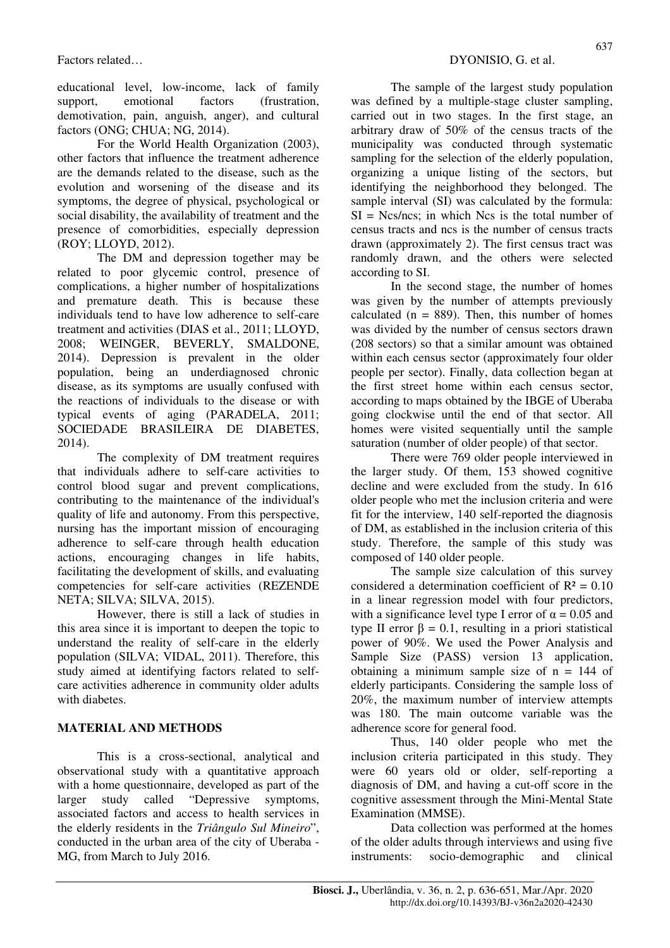educational level, low-income, lack of family support, emotional factors (frustration, demotivation, pain, anguish, anger), and cultural factors (ONG; CHUA; NG, 2014).

For the World Health Organization (2003), other factors that influence the treatment adherence are the demands related to the disease, such as the evolution and worsening of the disease and its symptoms, the degree of physical, psychological or social disability, the availability of treatment and the presence of comorbidities, especially depression (ROY; LLOYD, 2012).

The DM and depression together may be related to poor glycemic control, presence of complications, a higher number of hospitalizations and premature death. This is because these individuals tend to have low adherence to self-care treatment and activities (DIAS et al., 2011; LLOYD, 2008; WEINGER, BEVERLY, SMALDONE, 2014). Depression is prevalent in the older population, being an underdiagnosed chronic disease, as its symptoms are usually confused with the reactions of individuals to the disease or with typical events of aging (PARADELA, 2011; SOCIEDADE BRASILEIRA DE DIABETES, 2014).

The complexity of DM treatment requires that individuals adhere to self-care activities to control blood sugar and prevent complications, contributing to the maintenance of the individual's quality of life and autonomy. From this perspective, nursing has the important mission of encouraging adherence to self-care through health education actions, encouraging changes in life habits, facilitating the development of skills, and evaluating competencies for self-care activities (REZENDE NETA; SILVA; SILVA, 2015).

However, there is still a lack of studies in this area since it is important to deepen the topic to understand the reality of self-care in the elderly population (SILVA; VIDAL, 2011). Therefore, this study aimed at identifying factors related to selfcare activities adherence in community older adults with diabetes.

## **MATERIAL AND METHODS**

This is a cross-sectional, analytical and observational study with a quantitative approach with a home questionnaire, developed as part of the larger study called "Depressive symptoms, associated factors and access to health services in the elderly residents in the *Triângulo Sul Mineiro*", conducted in the urban area of the city of Uberaba - MG, from March to July 2016.

The sample of the largest study population was defined by a multiple-stage cluster sampling, carried out in two stages. In the first stage, an arbitrary draw of 50% of the census tracts of the municipality was conducted through systematic sampling for the selection of the elderly population, organizing a unique listing of the sectors, but identifying the neighborhood they belonged. The sample interval (SI) was calculated by the formula:  $SI = Ncs/ncs$ ; in which Ncs is the total number of census tracts and ncs is the number of census tracts drawn (approximately 2). The first census tract was randomly drawn, and the others were selected according to SI.

In the second stage, the number of homes was given by the number of attempts previously calculated ( $n = 889$ ). Then, this number of homes was divided by the number of census sectors drawn (208 sectors) so that a similar amount was obtained within each census sector (approximately four older people per sector). Finally, data collection began at the first street home within each census sector, according to maps obtained by the IBGE of Uberaba going clockwise until the end of that sector. All homes were visited sequentially until the sample saturation (number of older people) of that sector.

There were 769 older people interviewed in the larger study. Of them, 153 showed cognitive decline and were excluded from the study. In 616 older people who met the inclusion criteria and were fit for the interview, 140 self-reported the diagnosis of DM, as established in the inclusion criteria of this study. Therefore, the sample of this study was composed of 140 older people.

The sample size calculation of this survey considered a determination coefficient of  $R^2 = 0.10$ in a linear regression model with four predictors, with a significance level type I error of  $\alpha = 0.05$  and type II error  $\beta = 0.1$ , resulting in a priori statistical power of 90%. We used the Power Analysis and Sample Size (PASS) version 13 application, obtaining a minimum sample size of  $n = 144$  of elderly participants. Considering the sample loss of 20%, the maximum number of interview attempts was 180. The main outcome variable was the adherence score for general food.

Thus, 140 older people who met the inclusion criteria participated in this study. They were 60 years old or older, self-reporting a diagnosis of DM, and having a cut-off score in the cognitive assessment through the Mini-Mental State Examination (MMSE).

Data collection was performed at the homes of the older adults through interviews and using five instruments: socio-demographic and clinical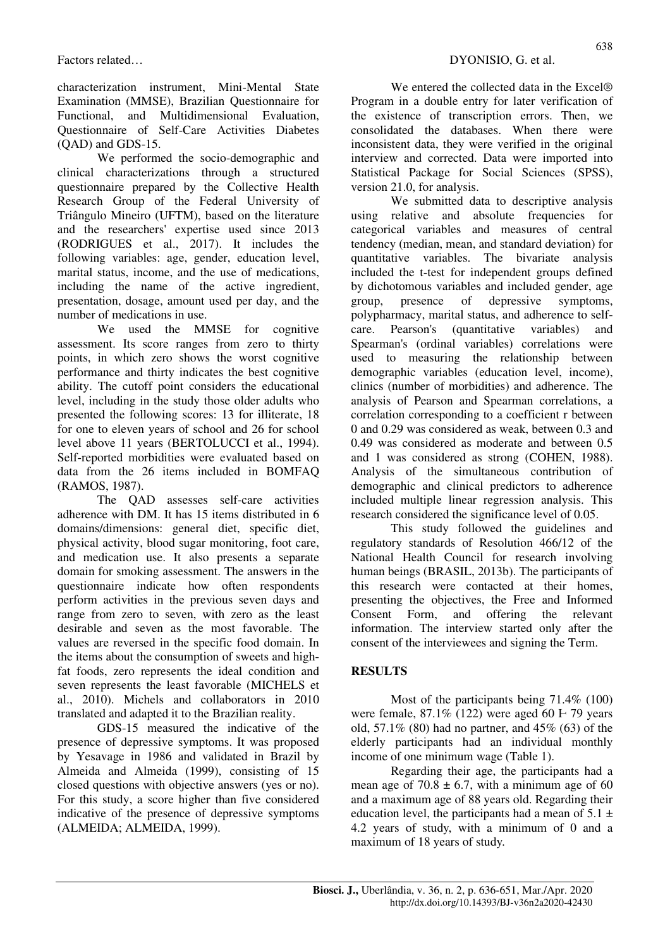characterization instrument, Mini-Mental State Examination (MMSE), Brazilian Questionnaire for Functional, and Multidimensional Evaluation, Questionnaire of Self-Care Activities Diabetes (QAD) and GDS-15.

We performed the socio-demographic and clinical characterizations through a structured questionnaire prepared by the Collective Health Research Group of the Federal University of Triângulo Mineiro (UFTM), based on the literature and the researchers' expertise used since 2013 (RODRIGUES et al., 2017). It includes the following variables: age, gender, education level, marital status, income, and the use of medications, including the name of the active ingredient, presentation, dosage, amount used per day, and the number of medications in use.

We used the MMSE for cognitive assessment. Its score ranges from zero to thirty points, in which zero shows the worst cognitive performance and thirty indicates the best cognitive ability. The cutoff point considers the educational level, including in the study those older adults who presented the following scores: 13 for illiterate, 18 for one to eleven years of school and 26 for school level above 11 years (BERTOLUCCI et al., 1994). Self-reported morbidities were evaluated based on data from the 26 items included in BOMFAQ (RAMOS, 1987).

The OAD assesses self-care activities adherence with DM. It has 15 items distributed in 6 domains/dimensions: general diet, specific diet, physical activity, blood sugar monitoring, foot care, and medication use. It also presents a separate domain for smoking assessment. The answers in the questionnaire indicate how often respondents perform activities in the previous seven days and range from zero to seven, with zero as the least desirable and seven as the most favorable. The values are reversed in the specific food domain. In the items about the consumption of sweets and highfat foods, zero represents the ideal condition and seven represents the least favorable (MICHELS et al., 2010). Michels and collaborators in 2010 translated and adapted it to the Brazilian reality.

GDS-15 measured the indicative of the presence of depressive symptoms. It was proposed by Yesavage in 1986 and validated in Brazil by Almeida and Almeida (1999), consisting of 15 closed questions with objective answers (yes or no). For this study, a score higher than five considered indicative of the presence of depressive symptoms (ALMEIDA; ALMEIDA, 1999).

We entered the collected data in the Excel<sup>®</sup> Program in a double entry for later verification of the existence of transcription errors. Then, we consolidated the databases. When there were inconsistent data, they were verified in the original interview and corrected. Data were imported into Statistical Package for Social Sciences (SPSS), version 21.0, for analysis.

We submitted data to descriptive analysis using relative and absolute frequencies for categorical variables and measures of central tendency (median, mean, and standard deviation) for quantitative variables. The bivariate analysis included the t-test for independent groups defined by dichotomous variables and included gender, age group, presence of depressive symptoms, polypharmacy, marital status, and adherence to selfcare. Pearson's (quantitative variables) and Spearman's (ordinal variables) correlations were used to measuring the relationship between demographic variables (education level, income), clinics (number of morbidities) and adherence. The analysis of Pearson and Spearman correlations, a correlation corresponding to a coefficient r between 0 and 0.29 was considered as weak, between 0.3 and 0.49 was considered as moderate and between 0.5 and 1 was considered as strong (COHEN, 1988). Analysis of the simultaneous contribution of demographic and clinical predictors to adherence included multiple linear regression analysis. This research considered the significance level of 0.05.

This study followed the guidelines and regulatory standards of Resolution 466/12 of the National Health Council for research involving human beings (BRASIL, 2013b). The participants of this research were contacted at their homes, presenting the objectives, the Free and Informed Consent Form, and offering the relevant information. The interview started only after the consent of the interviewees and signing the Term.

### **RESULTS**

Most of the participants being 71.4% (100) were female,  $87.1\%$  (122) were aged 60  $\text{F}$  79 years old, 57.1% (80) had no partner, and 45% (63) of the elderly participants had an individual monthly income of one minimum wage (Table 1).

Regarding their age, the participants had a mean age of  $70.8 \pm 6.7$ , with a minimum age of 60 and a maximum age of 88 years old. Regarding their education level, the participants had a mean of  $5.1 \pm$ 4.2 years of study, with a minimum of 0 and a maximum of 18 years of study.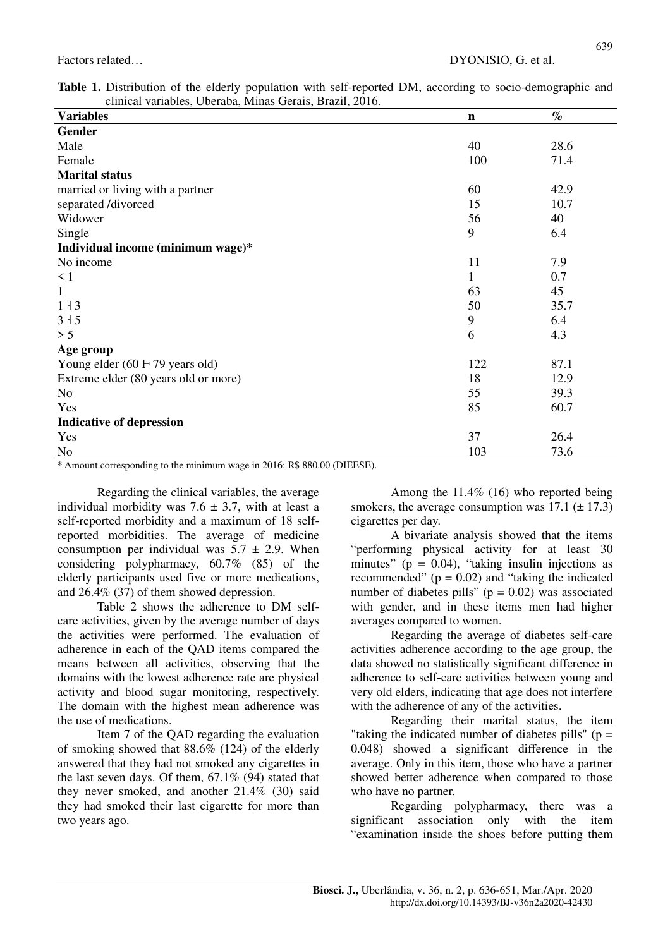639

| $\alpha$ . The contracted and $\alpha$ is the contract of $\alpha$ in $\beta$<br><b>Variables</b> | $\mathbf n$ | $\%$ |
|---------------------------------------------------------------------------------------------------|-------------|------|
| <b>Gender</b>                                                                                     |             |      |
| Male                                                                                              | 40          | 28.6 |
| Female                                                                                            | 100         | 71.4 |
| <b>Marital status</b>                                                                             |             |      |
| married or living with a partner                                                                  | 60          | 42.9 |
| separated /divorced                                                                               | 15          | 10.7 |
| Widower                                                                                           | 56          | 40   |
| Single                                                                                            | 9           | 6.4  |
| Individual income (minimum wage)*                                                                 |             |      |
| No income                                                                                         | 11          | 7.9  |
| $\leq 1$                                                                                          | 1           | 0.7  |
| 1                                                                                                 | 63          | 45   |
| $1+3$                                                                                             | 50          | 35.7 |
| 315                                                                                               | 9           | 6.4  |
| > 5                                                                                               | 6           | 4.3  |
| Age group                                                                                         |             |      |
| Young elder $(60 \text{ F } 79 \text{ years old})$                                                | 122         | 87.1 |
| Extreme elder (80 years old or more)                                                              | 18          | 12.9 |
| No                                                                                                | 55          | 39.3 |
| Yes                                                                                               | 85          | 60.7 |
| <b>Indicative of depression</b>                                                                   |             |      |
| Yes                                                                                               | 37          | 26.4 |
| No                                                                                                | 103         | 73.6 |

\* Amount corresponding to the minimum wage in 2016: R\$ 880.00 (DIEESE).

Regarding the clinical variables, the average individual morbidity was  $7.6 \pm 3.7$ , with at least a self-reported morbidity and a maximum of 18 selfreported morbidities. The average of medicine consumption per individual was  $5.7 \pm 2.9$ . When considering polypharmacy, 60.7% (85) of the elderly participants used five or more medications, and 26.4% (37) of them showed depression.

Table 2 shows the adherence to DM selfcare activities, given by the average number of days the activities were performed. The evaluation of adherence in each of the QAD items compared the means between all activities, observing that the domains with the lowest adherence rate are physical activity and blood sugar monitoring, respectively. The domain with the highest mean adherence was the use of medications.

Item 7 of the QAD regarding the evaluation of smoking showed that 88.6% (124) of the elderly answered that they had not smoked any cigarettes in the last seven days. Of them, 67.1% (94) stated that they never smoked, and another 21.4% (30) said they had smoked their last cigarette for more than two years ago.

Among the 11.4% (16) who reported being smokers, the average consumption was  $\overline{17.1 (\pm 17.3)}$ cigarettes per day.

A bivariate analysis showed that the items "performing physical activity for at least 30 minutes" ( $p = 0.04$ ), "taking insulin injections as recommended"  $(p = 0.02)$  and "taking the indicated number of diabetes pills"  $(p = 0.02)$  was associated with gender, and in these items men had higher averages compared to women.

Regarding the average of diabetes self-care activities adherence according to the age group, the data showed no statistically significant difference in adherence to self-care activities between young and very old elders, indicating that age does not interfere with the adherence of any of the activities.

Regarding their marital status, the item "taking the indicated number of diabetes pills" ( $p =$ 0.048) showed a significant difference in the average. Only in this item, those who have a partner showed better adherence when compared to those who have no partner.

Regarding polypharmacy, there was a significant association only with the item "examination inside the shoes before putting them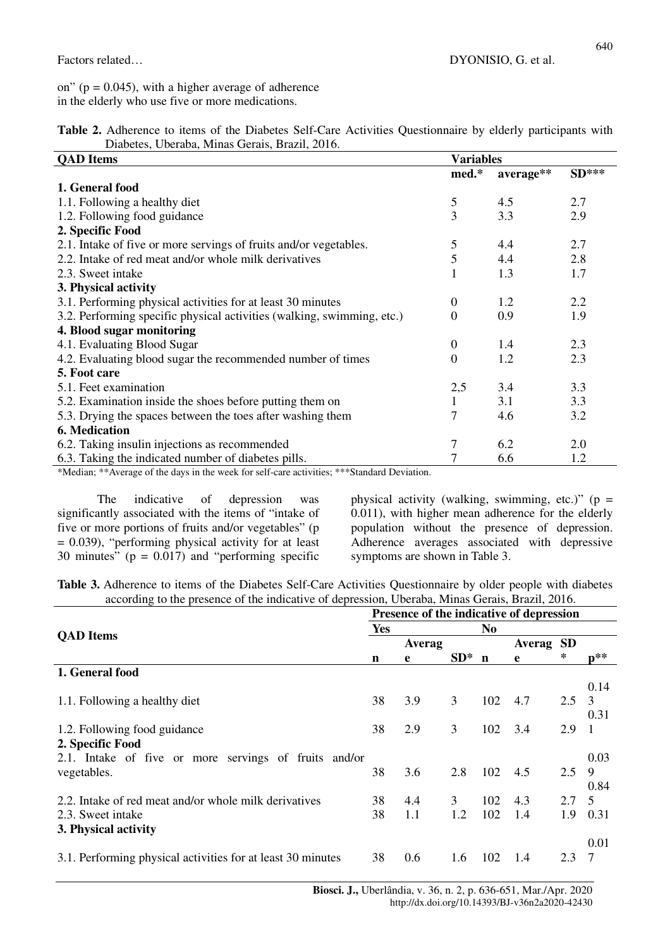on" ( $p = 0.045$ ), with a higher average of adherence in the elderly who use five or more medications.

| Table 2. Adherence to items of the Diabetes Self-Care Activities Questionnaire by elderly participants with |  |
|-------------------------------------------------------------------------------------------------------------|--|
| Diabetes, Uberaba, Minas Gerais, Brazil, 2016.                                                              |  |

| <b>QAD</b> Items                                                       | <b>Variables</b> |           |         |  |  |
|------------------------------------------------------------------------|------------------|-----------|---------|--|--|
|                                                                        | med.*            | average** | $SD***$ |  |  |
| 1. General food                                                        |                  |           |         |  |  |
| 1.1. Following a healthy diet                                          | 5                | 4.5       | 2.7     |  |  |
| 1.2. Following food guidance                                           | 3                | 3.3       | 2.9     |  |  |
| 2. Specific Food                                                       |                  |           |         |  |  |
| 2.1. Intake of five or more servings of fruits and/or vegetables.      | 5                | 4.4       | 2.7     |  |  |
| 2.2. Intake of red meat and/or whole milk derivatives                  | 5                | 4.4       | 2.8     |  |  |
| 2.3. Sweet intake                                                      |                  | 1.3       | 1.7     |  |  |
| 3. Physical activity                                                   |                  |           |         |  |  |
| 3.1. Performing physical activities for at least 30 minutes            | $\Omega$         | 1.2       | 2.2     |  |  |
| 3.2. Performing specific physical activities (walking, swimming, etc.) | $\Omega$         | 0.9       | 1.9     |  |  |
| 4. Blood sugar monitoring                                              |                  |           |         |  |  |
| 4.1. Evaluating Blood Sugar                                            | $\Omega$         | 1.4       | 2.3     |  |  |
| 4.2. Evaluating blood sugar the recommended number of times            | $\Omega$         | 1.2       | 2.3     |  |  |
| 5. Foot care                                                           |                  |           |         |  |  |
| 5.1. Feet examination                                                  | 2,5              | 3.4       | 3.3     |  |  |
| 5.2. Examination inside the shoes before putting them on               | 1                | 3.1       | 3.3     |  |  |
| 5.3. Drying the spaces between the toes after washing them             | 7                | 4.6       | 3.2     |  |  |
| 6. Medication                                                          |                  |           |         |  |  |
| 6.2. Taking insulin injections as recommended                          | 7                | 6.2       | 2.0     |  |  |
| 6.3. Taking the indicated number of diabetes pills.                    |                  | 6.6       | 1.2     |  |  |

\*Median; \*\*Average of the days in the week for self-care activities; \*\*\*Standard Deviation.

The indicative of depression was significantly associated with the items of "intake of five or more portions of fruits and/or vegetables" (p  $= 0.039$ ), "performing physical activity for at least 30 minutes" ( $p = 0.017$ ) and "performing specific physical activity (walking, swimming, etc.)" ( $p =$ 0.011), with higher mean adherence for the elderly population without the presence of depression. Adherence averages associated with depressive symptoms are shown in Table 3.

**Table 3.** Adherence to items of the Diabetes Self-Care Activities Questionnaire by older people with diabetes according to the presence of the indicative of depression, Uberaba, Minas Gerais, Brazil, 2016.

|                                                             | Presence of the indicative of depression |        |                |             |        |           |                   |  |  |
|-------------------------------------------------------------|------------------------------------------|--------|----------------|-------------|--------|-----------|-------------------|--|--|
|                                                             |                                          |        |                | No          |        |           |                   |  |  |
| <b>QAD</b> Items                                            |                                          | Averag |                |             | Averag | <b>SD</b> |                   |  |  |
|                                                             | n                                        | e      | $SD^*$         | $\mathbf n$ | e      | *         | $\mathbf{p}^{**}$ |  |  |
| 1. General food                                             |                                          |        |                |             |        |           |                   |  |  |
|                                                             |                                          |        |                |             |        |           | 0.14              |  |  |
| 1.1. Following a healthy diet                               | 38                                       | 3.9    | $\overline{3}$ | 102         | 4.7    | 2.5       | 3                 |  |  |
|                                                             |                                          |        |                |             |        |           | 0.31              |  |  |
| 1.2. Following food guidance                                | 38                                       | 2.9    | 3              | 102         | 3.4    | 2.9       | -1                |  |  |
| 2. Specific Food                                            |                                          |        |                |             |        |           |                   |  |  |
| 2.1. Intake of five or more servings of fruits and/or       |                                          |        |                |             |        |           | 0.03              |  |  |
| vegetables.                                                 | 38                                       | 3.6    | 2.8            | 102         | 4.5    | 2.5       | 9                 |  |  |
|                                                             |                                          |        |                |             |        |           | 0.84              |  |  |
| 2.2. Intake of red meat and/or whole milk derivatives       | 38                                       | 4.4    | 3              | 102         | 4.3    | 2.7       | 5                 |  |  |
| 2.3. Sweet intake                                           | 38                                       | 1.1    | 1.2            | 102         | 1.4    | 1.9       | 0.31              |  |  |
| 3. Physical activity                                        |                                          |        |                |             |        |           |                   |  |  |
|                                                             |                                          |        |                |             |        |           | 0.01              |  |  |
| 3.1. Performing physical activities for at least 30 minutes | 38                                       | 0.6    | 1.6            | 102         | 1.4    | 2.3       | 7                 |  |  |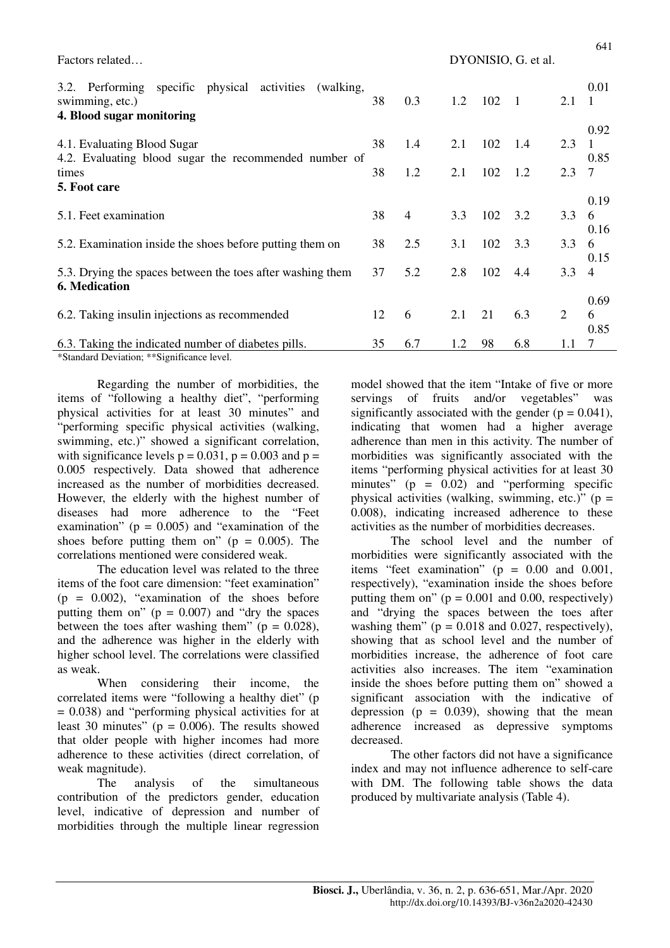Factors related… DYONISIO, G. et al.

| 3.2. Performing specific physical activities<br>(walking,<br>swimming, etc.)<br>4. Blood sugar monitoring | 38 | 0.3 | 1.2 | 102 | $\overline{1}$ | 2.1 | 0.01<br>$\overline{1}$ |
|-----------------------------------------------------------------------------------------------------------|----|-----|-----|-----|----------------|-----|------------------------|
| 4.1. Evaluating Blood Sugar<br>4.2. Evaluating blood sugar the recommended number of                      | 38 | 1.4 | 2.1 | 102 | 1.4            | 2.3 | 0.92<br>0.85           |
| times<br>5. Foot care                                                                                     | 38 | 1.2 | 2.1 | 102 | 1.2            | 2.3 | 7                      |
| 5.1. Feet examination                                                                                     | 38 | 4   | 3.3 | 102 | 3.2            | 3.3 | 0.19<br>6<br>0.16      |
| 5.2. Examination inside the shoes before putting them on                                                  | 38 | 2.5 | 3.1 | 102 | 3.3            | 3.3 | 6                      |
| 5.3. Drying the spaces between the toes after washing them<br><b>6. Medication</b>                        | 37 | 5.2 | 2.8 | 102 | 4.4            | 3.3 | 0.15<br>$\overline{4}$ |
| 6.2. Taking insulin injections as recommended                                                             | 12 | 6   | 2.1 | 21  | 6.3            | 2   | 0.69<br>6<br>0.85      |
| 6.3. Taking the indicated number of diabetes pills.<br>*Standard Deviation: **Significance level          | 35 | 6.7 | 1.2 | 98  | 6.8            | 1.1 | 7                      |

Standard Deviation; \*\*Significance level.

Regarding the number of morbidities, the items of "following a healthy diet", "performing physical activities for at least 30 minutes" and "performing specific physical activities (walking, swimming, etc.)" showed a significant correlation, with significance levels  $p = 0.031$ ,  $p = 0.003$  and  $p =$ 0.005 respectively. Data showed that adherence increased as the number of morbidities decreased. However, the elderly with the highest number of diseases had more adherence to the "Feet examination" ( $p = 0.005$ ) and "examination of the shoes before putting them on" ( $p = 0.005$ ). The correlations mentioned were considered weak.

The education level was related to the three items of the foot care dimension: "feet examination"  $(p = 0.002)$ , "examination of the shoes before putting them on"  $(p = 0.007)$  and "dry the spaces" between the toes after washing them" ( $p = 0.028$ ), and the adherence was higher in the elderly with higher school level. The correlations were classified as weak.

When considering their income, the correlated items were "following a healthy diet" (p  $= 0.038$ ) and "performing physical activities for at least 30 minutes" ( $p = 0.006$ ). The results showed that older people with higher incomes had more adherence to these activities (direct correlation, of weak magnitude).

The analysis of the simultaneous contribution of the predictors gender, education level, indicative of depression and number of morbidities through the multiple linear regression model showed that the item "Intake of five or more servings of fruits and/or vegetables" was significantly associated with the gender  $(p = 0.041)$ , indicating that women had a higher average adherence than men in this activity. The number of morbidities was significantly associated with the items "performing physical activities for at least 30 minutes"  $(p = 0.02)$  and "performing specific physical activities (walking, swimming, etc.)" ( $p =$ 0.008), indicating increased adherence to these activities as the number of morbidities decreases.

The school level and the number of morbidities were significantly associated with the items "feet examination" (p = 0.00 and 0.001, respectively), "examination inside the shoes before putting them on" ( $p = 0.001$  and 0.00, respectively) and "drying the spaces between the toes after washing them"  $(p = 0.018$  and 0.027, respectively), showing that as school level and the number of morbidities increase, the adherence of foot care activities also increases. The item "examination inside the shoes before putting them on" showed a significant association with the indicative of depression ( $p = 0.039$ ), showing that the mean adherence increased as depressive symptoms decreased.

The other factors did not have a significance index and may not influence adherence to self-care with DM. The following table shows the data produced by multivariate analysis (Table 4).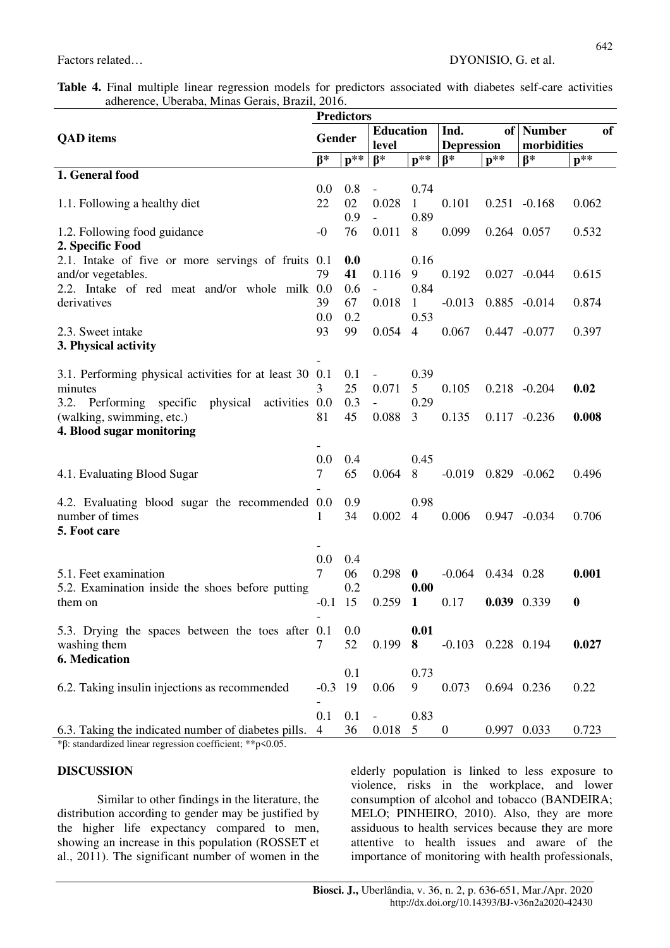|  |  | <b>Table 4.</b> Final multiple linear regression models for predictors associated with diabetes self-care activities |  |  |  |  |
|--|--|----------------------------------------------------------------------------------------------------------------------|--|--|--|--|
|  |  | adherence, Uberaba, Minas Gerais, Brazil, 2016.                                                                      |  |  |  |  |

| <b>Predictors</b>                                         |                |       |                           |                   |                           |                   |                 |                  |  |  |
|-----------------------------------------------------------|----------------|-------|---------------------------|-------------------|---------------------------|-------------------|-----------------|------------------|--|--|
|                                                           |                |       | <b>Education</b><br>level |                   | Ind.                      |                   | of   Number     | of               |  |  |
| <b>QAD</b> items                                          | Gender         |       |                           |                   | <b>Depression</b>         |                   | morbidities     |                  |  |  |
|                                                           | $B*$           | $n**$ | $B*$                      | $\mathbf{p}^{**}$ | $B^*$                     | $\mathbf{p}^{**}$ | $B^*$           | $p**$            |  |  |
| 1. General food                                           |                |       |                           |                   |                           |                   |                 |                  |  |  |
|                                                           | 0.0            | 0.8   |                           | 0.74              |                           |                   |                 |                  |  |  |
| 1.1. Following a healthy diet                             | 22             | 02    | 0.028                     | 1                 | 0.101                     |                   | $0.251 - 0.168$ | 0.062            |  |  |
|                                                           |                | 0.9   |                           | 0.89              |                           |                   |                 |                  |  |  |
| 1.2. Following food guidance                              | $-0$           | 76    | 0.011                     | 8                 | 0.099                     | 0.264 0.057       |                 | 0.532            |  |  |
| 2. Specific Food                                          |                |       |                           |                   |                           |                   |                 |                  |  |  |
| 2.1. Intake of five or more servings of fruits 0.1        |                | 0.0   |                           | 0.16              |                           |                   |                 |                  |  |  |
| and/or vegetables.                                        | 79             | 41    | 0.116                     | 9                 | 0.192                     |                   | $0.027 - 0.044$ | 0.615            |  |  |
| 2.2. Intake of red meat and/or whole milk 0.0             |                | 0.6   |                           | 0.84              |                           |                   |                 |                  |  |  |
| derivatives                                               | 39             | 67    | 0.018                     | 1                 | $-0.013$                  |                   | $0.885 - 0.014$ | 0.874            |  |  |
|                                                           | 0.0            | 0.2   |                           | 0.53              |                           |                   |                 |                  |  |  |
| 2.3. Sweet intake                                         | 93             | 99    | 0.054                     | $\overline{4}$    | 0.067                     |                   | $0.447 - 0.077$ | 0.397            |  |  |
| 3. Physical activity                                      |                |       |                           |                   |                           |                   |                 |                  |  |  |
|                                                           |                |       |                           |                   |                           |                   |                 |                  |  |  |
| 3.1. Performing physical activities for at least 30 0.1   |                | 0.1   |                           | 0.39              |                           |                   |                 |                  |  |  |
| minutes                                                   | 3              | 25    | 0.071                     | 5                 | 0.105                     |                   | $0.218 - 0.204$ | 0.02             |  |  |
| 3.2.<br>Performing specific<br>physical<br>activities 0.0 |                | 0.3   |                           | 0.29              |                           |                   |                 |                  |  |  |
| (walking, swimming, etc.)                                 | 81             | 45    | 0.088                     | 3                 | 0.135                     |                   | $0.117 - 0.236$ | 0.008            |  |  |
| 4. Blood sugar monitoring                                 |                |       |                           |                   |                           |                   |                 |                  |  |  |
|                                                           |                |       |                           |                   |                           |                   |                 |                  |  |  |
|                                                           | 0.0            | 0.4   |                           | 0.45              |                           |                   |                 |                  |  |  |
| 4.1. Evaluating Blood Sugar                               | $\tau$         | 65    | 0.064                     | 8                 | $-0.019$ $0.829$ $-0.062$ |                   |                 | 0.496            |  |  |
| 4.2. Evaluating blood sugar the recommended 0.0           |                | 0.9   |                           | 0.98              |                           |                   |                 |                  |  |  |
| number of times                                           | 1              | 34    | 0.002                     | 4                 | 0.006                     |                   | $0.947 - 0.034$ | 0.706            |  |  |
| 5. Foot care                                              |                |       |                           |                   |                           |                   |                 |                  |  |  |
|                                                           |                |       |                           |                   |                           |                   |                 |                  |  |  |
|                                                           | 0.0            | 0.4   |                           |                   |                           |                   |                 |                  |  |  |
| 5.1. Feet examination                                     | 7              | 06    | 0.298                     | $\boldsymbol{0}$  | $-0.064$                  | 0.434 0.28        |                 | 0.001            |  |  |
| 5.2. Examination inside the shoes before putting          |                | 0.2   |                           | 0.00              |                           |                   |                 |                  |  |  |
| them on                                                   | $-0.1$         | 15    | 0.259                     | $\mathbf{1}$      | 0.17                      | 0.039 0.339       |                 | $\boldsymbol{0}$ |  |  |
|                                                           |                |       |                           |                   |                           |                   |                 |                  |  |  |
| 5.3. Drying the spaces between the toes after 0.1         |                | 0.0   |                           | 0.01              |                           |                   |                 |                  |  |  |
| washing them                                              | 7              | 52    | 0.199                     | 8                 | $-0.103$ $0.228$ $0.194$  |                   |                 | 0.027            |  |  |
| 6. Medication                                             |                |       |                           |                   |                           |                   |                 |                  |  |  |
|                                                           |                | 0.1   |                           | 0.73              |                           |                   |                 |                  |  |  |
| 6.2. Taking insulin injections as recommended             | $-0.3$         | 19    | 0.06                      | 9                 | 0.073                     | 0.694 0.236       |                 | 0.22             |  |  |
|                                                           |                |       |                           |                   |                           |                   |                 |                  |  |  |
|                                                           | 0.1            | 0.1   |                           | 0.83              |                           |                   |                 |                  |  |  |
| 6.3. Taking the indicated number of diabetes pills.       | $\overline{4}$ | 36    | 0.018                     | 5                 | $\boldsymbol{0}$          | 0.997 0.033       |                 | 0.723            |  |  |
| *β: standardized linear regression coefficient; **p<0.05. |                |       |                           |                   |                           |                   |                 |                  |  |  |

### **DISCUSSION**

Similar to other findings in the literature, the distribution according to gender may be justified by the higher life expectancy compared to men, showing an increase in this population (ROSSET et al., 2011). The significant number of women in the

elderly population is linked to less exposure to violence, risks in the workplace, and lower consumption of alcohol and tobacco (BANDEIRA; MELO; PINHEIRO, 2010). Also, they are more assiduous to health services because they are more attentive to health issues and aware of the importance of monitoring with health professionals,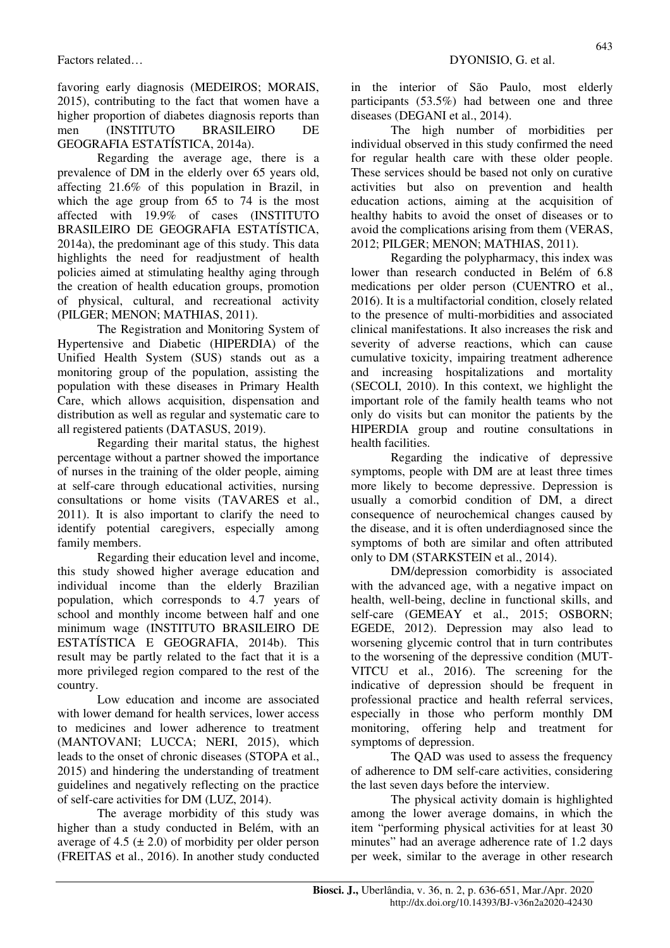favoring early diagnosis (MEDEIROS; MORAIS, 2015), contributing to the fact that women have a higher proportion of diabetes diagnosis reports than men (INSTITUTO BRASILEIRO DE GEOGRAFIA ESTATÍSTICA, 2014a).

Regarding the average age, there is a prevalence of DM in the elderly over 65 years old, affecting 21.6% of this population in Brazil, in which the age group from 65 to 74 is the most affected with 19.9% of cases (INSTITUTO BRASILEIRO DE GEOGRAFIA ESTATÍSTICA, 2014a), the predominant age of this study. This data highlights the need for readjustment of health policies aimed at stimulating healthy aging through the creation of health education groups, promotion of physical, cultural, and recreational activity (PILGER; MENON; MATHIAS, 2011).

The Registration and Monitoring System of Hypertensive and Diabetic (HIPERDIA) of the Unified Health System (SUS) stands out as a monitoring group of the population, assisting the population with these diseases in Primary Health Care, which allows acquisition, dispensation and distribution as well as regular and systematic care to all registered patients (DATASUS, 2019).

Regarding their marital status, the highest percentage without a partner showed the importance of nurses in the training of the older people, aiming at self-care through educational activities, nursing consultations or home visits (TAVARES et al., 2011). It is also important to clarify the need to identify potential caregivers, especially among family members.

Regarding their education level and income, this study showed higher average education and individual income than the elderly Brazilian population, which corresponds to 4.7 years of school and monthly income between half and one minimum wage (INSTITUTO BRASILEIRO DE ESTATÍSTICA E GEOGRAFIA, 2014b). This result may be partly related to the fact that it is a more privileged region compared to the rest of the country.

Low education and income are associated with lower demand for health services, lower access to medicines and lower adherence to treatment (MANTOVANI; LUCCA; NERI, 2015), which leads to the onset of chronic diseases (STOPA et al., 2015) and hindering the understanding of treatment guidelines and negatively reflecting on the practice of self-care activities for DM (LUZ, 2014).

The average morbidity of this study was higher than a study conducted in Belém, with an average of 4.5  $(\pm 2.0)$  of morbidity per older person (FREITAS et al., 2016). In another study conducted in the interior of São Paulo, most elderly participants (53.5%) had between one and three diseases (DEGANI et al., 2014).

The high number of morbidities per individual observed in this study confirmed the need for regular health care with these older people. These services should be based not only on curative activities but also on prevention and health education actions, aiming at the acquisition of healthy habits to avoid the onset of diseases or to avoid the complications arising from them (VERAS, 2012; PILGER; MENON; MATHIAS, 2011).

Regarding the polypharmacy, this index was lower than research conducted in Belém of 6.8 medications per older person (CUENTRO et al., 2016). It is a multifactorial condition, closely related to the presence of multi-morbidities and associated clinical manifestations. It also increases the risk and severity of adverse reactions, which can cause cumulative toxicity, impairing treatment adherence and increasing hospitalizations and mortality (SECOLI, 2010). In this context, we highlight the important role of the family health teams who not only do visits but can monitor the patients by the HIPERDIA group and routine consultations in health facilities.

Regarding the indicative of depressive symptoms, people with DM are at least three times more likely to become depressive. Depression is usually a comorbid condition of DM, a direct consequence of neurochemical changes caused by the disease, and it is often underdiagnosed since the symptoms of both are similar and often attributed only to DM (STARKSTEIN et al., 2014).

DM/depression comorbidity is associated with the advanced age, with a negative impact on health, well-being, decline in functional skills, and self-care (GEMEAY et al., 2015; OSBORN; EGEDE, 2012). Depression may also lead to worsening glycemic control that in turn contributes to the worsening of the depressive condition (MUT-VITCU et al., 2016). The screening for the indicative of depression should be frequent in professional practice and health referral services, especially in those who perform monthly DM monitoring, offering help and treatment for symptoms of depression.

The QAD was used to assess the frequency of adherence to DM self-care activities, considering the last seven days before the interview.

The physical activity domain is highlighted among the lower average domains, in which the item "performing physical activities for at least 30 minutes" had an average adherence rate of 1.2 days per week, similar to the average in other research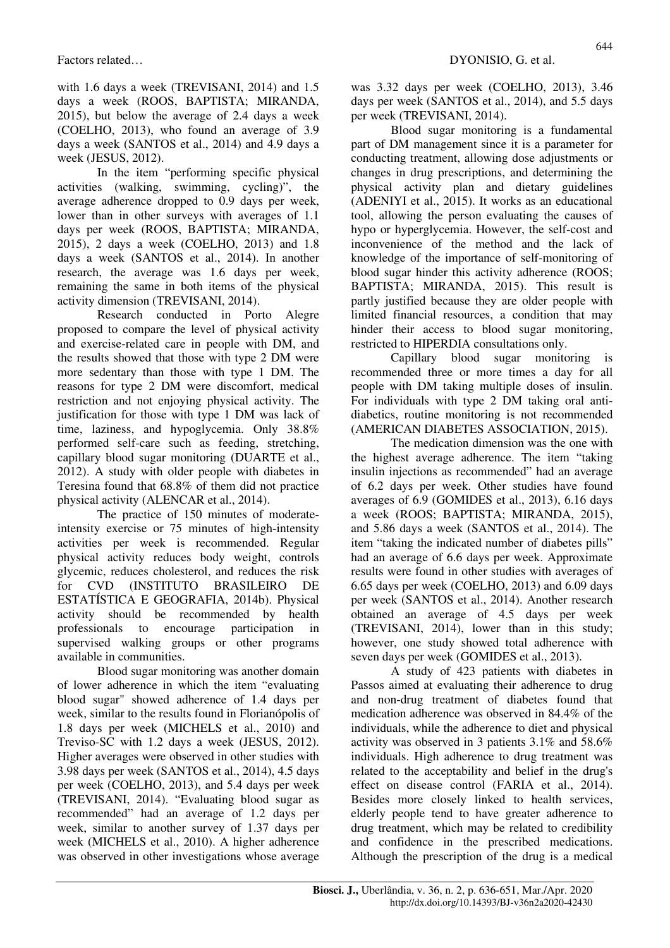with 1.6 days a week (TREVISANI, 2014) and 1.5 days a week (ROOS, BAPTISTA; MIRANDA, 2015), but below the average of 2.4 days a week (COELHO, 2013), who found an average of 3.9 days a week (SANTOS et al., 2014) and 4.9 days a week (JESUS, 2012).

In the item "performing specific physical activities (walking, swimming, cycling)", the average adherence dropped to 0.9 days per week, lower than in other surveys with averages of 1.1 days per week (ROOS, BAPTISTA; MIRANDA, 2015), 2 days a week (COELHO, 2013) and 1.8 days a week (SANTOS et al., 2014). In another research, the average was 1.6 days per week, remaining the same in both items of the physical activity dimension (TREVISANI, 2014).

Research conducted in Porto Alegre proposed to compare the level of physical activity and exercise-related care in people with DM, and the results showed that those with type 2 DM were more sedentary than those with type 1 DM. The reasons for type 2 DM were discomfort, medical restriction and not enjoying physical activity. The justification for those with type 1 DM was lack of time, laziness, and hypoglycemia. Only 38.8% performed self-care such as feeding, stretching, capillary blood sugar monitoring (DUARTE et al., 2012). A study with older people with diabetes in Teresina found that 68.8% of them did not practice physical activity (ALENCAR et al., 2014).

The practice of 150 minutes of moderateintensity exercise or 75 minutes of high-intensity activities per week is recommended. Regular physical activity reduces body weight, controls glycemic, reduces cholesterol, and reduces the risk for CVD (INSTITUTO BRASILEIRO DE ESTATÍSTICA E GEOGRAFIA, 2014b). Physical activity should be recommended by health professionals to encourage participation in supervised walking groups or other programs available in communities.

Blood sugar monitoring was another domain of lower adherence in which the item "evaluating blood sugar" showed adherence of 1.4 days per week, similar to the results found in Florianópolis of 1.8 days per week (MICHELS et al., 2010) and Treviso-SC with 1.2 days a week (JESUS, 2012). Higher averages were observed in other studies with 3.98 days per week (SANTOS et al., 2014), 4.5 days per week (COELHO, 2013), and 5.4 days per week (TREVISANI, 2014). "Evaluating blood sugar as recommended" had an average of 1.2 days per week, similar to another survey of 1.37 days per week (MICHELS et al., 2010). A higher adherence was observed in other investigations whose average was 3.32 days per week (COELHO, 2013), 3.46 days per week (SANTOS et al., 2014), and 5.5 days per week (TREVISANI, 2014).

Blood sugar monitoring is a fundamental part of DM management since it is a parameter for conducting treatment, allowing dose adjustments or changes in drug prescriptions, and determining the physical activity plan and dietary guidelines (ADENIYI et al., 2015). It works as an educational tool, allowing the person evaluating the causes of hypo or hyperglycemia. However, the self-cost and inconvenience of the method and the lack of knowledge of the importance of self-monitoring of blood sugar hinder this activity adherence (ROOS; BAPTISTA; MIRANDA, 2015). This result is partly justified because they are older people with limited financial resources, a condition that may hinder their access to blood sugar monitoring, restricted to HIPERDIA consultations only.

Capillary blood sugar monitoring is recommended three or more times a day for all people with DM taking multiple doses of insulin. For individuals with type 2 DM taking oral antidiabetics, routine monitoring is not recommended (AMERICAN DIABETES ASSOCIATION, 2015).

The medication dimension was the one with the highest average adherence. The item "taking insulin injections as recommended" had an average of 6.2 days per week. Other studies have found averages of 6.9 (GOMIDES et al., 2013), 6.16 days a week (ROOS; BAPTISTA; MIRANDA, 2015), and 5.86 days a week (SANTOS et al., 2014). The item "taking the indicated number of diabetes pills" had an average of 6.6 days per week. Approximate results were found in other studies with averages of 6.65 days per week (COELHO, 2013) and 6.09 days per week (SANTOS et al., 2014). Another research obtained an average of 4.5 days per week (TREVISANI, 2014), lower than in this study; however, one study showed total adherence with seven days per week (GOMIDES et al., 2013).

A study of 423 patients with diabetes in Passos aimed at evaluating their adherence to drug and non-drug treatment of diabetes found that medication adherence was observed in 84.4% of the individuals, while the adherence to diet and physical activity was observed in 3 patients 3.1% and 58.6% individuals. High adherence to drug treatment was related to the acceptability and belief in the drug's effect on disease control (FARIA et al., 2014). Besides more closely linked to health services, elderly people tend to have greater adherence to drug treatment, which may be related to credibility and confidence in the prescribed medications. Although the prescription of the drug is a medical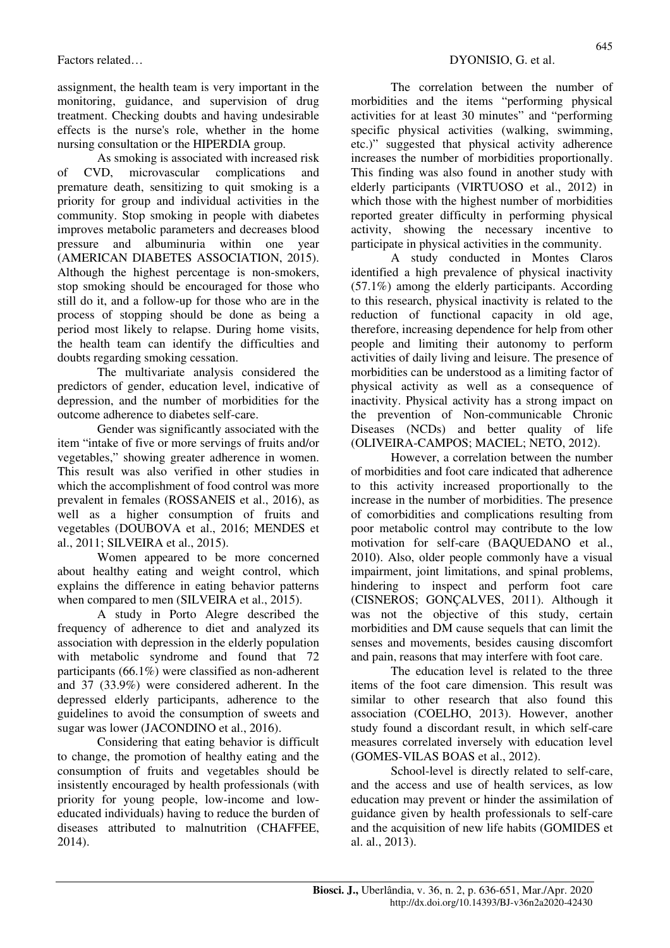assignment, the health team is very important in the monitoring, guidance, and supervision of drug treatment. Checking doubts and having undesirable effects is the nurse's role, whether in the home nursing consultation or the HIPERDIA group.

As smoking is associated with increased risk of CVD, microvascular complications and premature death, sensitizing to quit smoking is a priority for group and individual activities in the community. Stop smoking in people with diabetes improves metabolic parameters and decreases blood pressure and albuminuria within one year (AMERICAN DIABETES ASSOCIATION, 2015). Although the highest percentage is non-smokers, stop smoking should be encouraged for those who still do it, and a follow-up for those who are in the process of stopping should be done as being a period most likely to relapse. During home visits, the health team can identify the difficulties and doubts regarding smoking cessation.

The multivariate analysis considered the predictors of gender, education level, indicative of depression, and the number of morbidities for the outcome adherence to diabetes self-care.

Gender was significantly associated with the item "intake of five or more servings of fruits and/or vegetables," showing greater adherence in women. This result was also verified in other studies in which the accomplishment of food control was more prevalent in females (ROSSANEIS et al., 2016), as well as a higher consumption of fruits and vegetables (DOUBOVA et al., 2016; MENDES et al., 2011; SILVEIRA et al., 2015).

Women appeared to be more concerned about healthy eating and weight control, which explains the difference in eating behavior patterns when compared to men (SILVEIRA et al., 2015).

A study in Porto Alegre described the frequency of adherence to diet and analyzed its association with depression in the elderly population with metabolic syndrome and found that 72 participants (66.1%) were classified as non-adherent and 37 (33.9%) were considered adherent. In the depressed elderly participants, adherence to the guidelines to avoid the consumption of sweets and sugar was lower (JACONDINO et al., 2016).

Considering that eating behavior is difficult to change, the promotion of healthy eating and the consumption of fruits and vegetables should be insistently encouraged by health professionals (with priority for young people, low-income and loweducated individuals) having to reduce the burden of diseases attributed to malnutrition (CHAFFEE, 2014).

The correlation between the number of morbidities and the items "performing physical activities for at least 30 minutes" and "performing specific physical activities (walking, swimming, etc.)" suggested that physical activity adherence increases the number of morbidities proportionally. This finding was also found in another study with elderly participants (VIRTUOSO et al., 2012) in which those with the highest number of morbidities reported greater difficulty in performing physical activity, showing the necessary incentive to participate in physical activities in the community.

A study conducted in Montes Claros identified a high prevalence of physical inactivity (57.1%) among the elderly participants. According to this research, physical inactivity is related to the reduction of functional capacity in old age, therefore, increasing dependence for help from other people and limiting their autonomy to perform activities of daily living and leisure. The presence of morbidities can be understood as a limiting factor of physical activity as well as a consequence of inactivity. Physical activity has a strong impact on the prevention of Non-communicable Chronic Diseases (NCDs) and better quality of life (OLIVEIRA-CAMPOS; MACIEL; NETO, 2012).

However, a correlation between the number of morbidities and foot care indicated that adherence to this activity increased proportionally to the increase in the number of morbidities. The presence of comorbidities and complications resulting from poor metabolic control may contribute to the low motivation for self-care (BAQUEDANO et al., 2010). Also, older people commonly have a visual impairment, joint limitations, and spinal problems, hindering to inspect and perform foot care (CISNEROS; GONÇALVES, 2011). Although it was not the objective of this study, certain morbidities and DM cause sequels that can limit the senses and movements, besides causing discomfort and pain, reasons that may interfere with foot care.

The education level is related to the three items of the foot care dimension. This result was similar to other research that also found this association (COELHO, 2013). However, another study found a discordant result, in which self-care measures correlated inversely with education level (GOMES-VILAS BOAS et al., 2012).

School-level is directly related to self-care, and the access and use of health services, as low education may prevent or hinder the assimilation of guidance given by health professionals to self-care and the acquisition of new life habits (GOMIDES et al. al., 2013).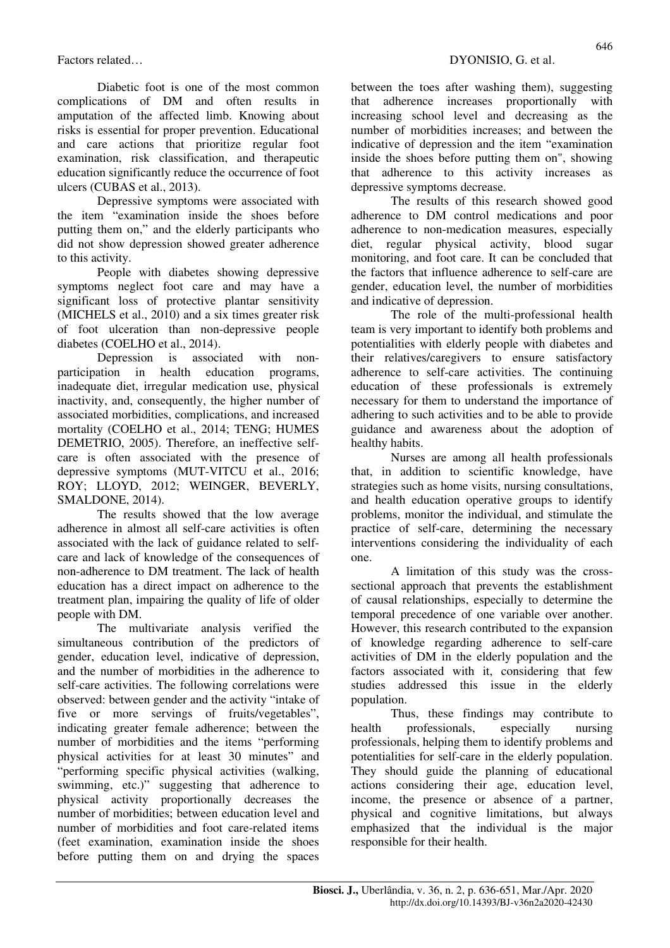Diabetic foot is one of the most common complications of DM and often results in amputation of the affected limb. Knowing about risks is essential for proper prevention. Educational and care actions that prioritize regular foot examination, risk classification, and therapeutic education significantly reduce the occurrence of foot ulcers (CUBAS et al., 2013).

Depressive symptoms were associated with the item "examination inside the shoes before putting them on," and the elderly participants who did not show depression showed greater adherence to this activity.

People with diabetes showing depressive symptoms neglect foot care and may have a significant loss of protective plantar sensitivity (MICHELS et al., 2010) and a six times greater risk of foot ulceration than non-depressive people diabetes (COELHO et al., 2014).

Depression is associated with nonparticipation in health education programs, inadequate diet, irregular medication use, physical inactivity, and, consequently, the higher number of associated morbidities, complications, and increased mortality (COELHO et al., 2014; TENG; HUMES DEMETRIO, 2005). Therefore, an ineffective selfcare is often associated with the presence of depressive symptoms (MUT-VITCU et al., 2016; ROY; LLOYD, 2012; WEINGER, BEVERLY, SMALDONE, 2014).

The results showed that the low average adherence in almost all self-care activities is often associated with the lack of guidance related to selfcare and lack of knowledge of the consequences of non-adherence to DM treatment. The lack of health education has a direct impact on adherence to the treatment plan, impairing the quality of life of older people with DM.

The multivariate analysis verified the simultaneous contribution of the predictors of gender, education level, indicative of depression, and the number of morbidities in the adherence to self-care activities. The following correlations were observed: between gender and the activity "intake of five or more servings of fruits/vegetables", indicating greater female adherence; between the number of morbidities and the items "performing physical activities for at least 30 minutes" and "performing specific physical activities (walking, swimming, etc.)" suggesting that adherence to physical activity proportionally decreases the number of morbidities; between education level and number of morbidities and foot care-related items (feet examination, examination inside the shoes before putting them on and drying the spaces

between the toes after washing them), suggesting that adherence increases proportionally with increasing school level and decreasing as the number of morbidities increases; and between the indicative of depression and the item "examination inside the shoes before putting them on", showing that adherence to this activity increases as depressive symptoms decrease.

The results of this research showed good adherence to DM control medications and poor adherence to non-medication measures, especially diet, regular physical activity, blood sugar monitoring, and foot care. It can be concluded that the factors that influence adherence to self-care are gender, education level, the number of morbidities and indicative of depression.

The role of the multi-professional health team is very important to identify both problems and potentialities with elderly people with diabetes and their relatives/caregivers to ensure satisfactory adherence to self-care activities. The continuing education of these professionals is extremely necessary for them to understand the importance of adhering to such activities and to be able to provide guidance and awareness about the adoption of healthy habits.

Nurses are among all health professionals that, in addition to scientific knowledge, have strategies such as home visits, nursing consultations, and health education operative groups to identify problems, monitor the individual, and stimulate the practice of self-care, determining the necessary interventions considering the individuality of each one.

A limitation of this study was the crosssectional approach that prevents the establishment of causal relationships, especially to determine the temporal precedence of one variable over another. However, this research contributed to the expansion of knowledge regarding adherence to self-care activities of DM in the elderly population and the factors associated with it, considering that few studies addressed this issue in the elderly population.

Thus, these findings may contribute to health professionals, especially nursing professionals, helping them to identify problems and potentialities for self-care in the elderly population. They should guide the planning of educational actions considering their age, education level, income, the presence or absence of a partner, physical and cognitive limitations, but always emphasized that the individual is the major responsible for their health.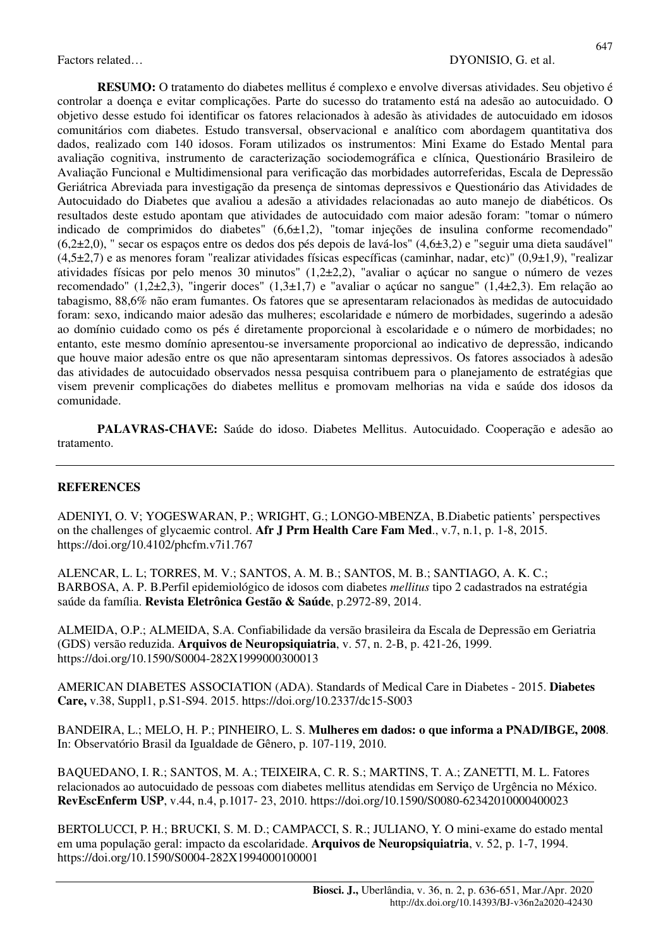**RESUMO:** O tratamento do diabetes mellitus é complexo e envolve diversas atividades. Seu objetivo é controlar a doença e evitar complicações. Parte do sucesso do tratamento está na adesão ao autocuidado. O objetivo desse estudo foi identificar os fatores relacionados à adesão às atividades de autocuidado em idosos comunitários com diabetes. Estudo transversal, observacional e analítico com abordagem quantitativa dos dados, realizado com 140 idosos. Foram utilizados os instrumentos: Mini Exame do Estado Mental para avaliação cognitiva, instrumento de caracterização sociodemográfica e clínica, Questionário Brasileiro de Avaliação Funcional e Multidimensional para verificação das morbidades autorreferidas, Escala de Depressão Geriátrica Abreviada para investigação da presença de sintomas depressivos e Questionário das Atividades de Autocuidado do Diabetes que avaliou a adesão a atividades relacionadas ao auto manejo de diabéticos. Os resultados deste estudo apontam que atividades de autocuidado com maior adesão foram: "tomar o número indicado de comprimidos do diabetes"  $(6,6\pm1,2)$ , "tomar injeções de insulina conforme recomendado" (6,2±2,0), " secar os espaços entre os dedos dos pés depois de lavá-los" (4,6±3,2) e "seguir uma dieta saudável"  $(4,5\pm2,7)$  e as menores foram "realizar atividades físicas específicas (caminhar, nadar, etc)"  $(0,9\pm1,9)$ , "realizar atividades físicas por pelo menos 30 minutos" (1,2±2,2), "avaliar o açúcar no sangue o número de vezes recomendado" (1,2±2,3), "ingerir doces" (1,3±1,7) e "avaliar o açúcar no sangue" (1,4±2,3). Em relação ao tabagismo, 88,6% não eram fumantes. Os fatores que se apresentaram relacionados às medidas de autocuidado foram: sexo, indicando maior adesão das mulheres; escolaridade e número de morbidades, sugerindo a adesão ao domínio cuidado como os pés é diretamente proporcional à escolaridade e o número de morbidades; no entanto, este mesmo domínio apresentou-se inversamente proporcional ao indicativo de depressão, indicando que houve maior adesão entre os que não apresentaram sintomas depressivos. Os fatores associados à adesão das atividades de autocuidado observados nessa pesquisa contribuem para o planejamento de estratégias que visem prevenir complicações do diabetes mellitus e promovam melhorias na vida e saúde dos idosos da comunidade.

**PALAVRAS-CHAVE:** Saúde do idoso. Diabetes Mellitus. Autocuidado. Cooperação e adesão ao tratamento.

#### **REFERENCES**

ADENIYI, O. V; YOGESWARAN, P.; WRIGHT, G.; LONGO-MBENZA, B.Diabetic patients' perspectives on the challenges of glycaemic control. **Afr J Prm Health Care Fam Med**., v.7, n.1, p. 1-8, 2015. https://doi.org/10.4102/phcfm.v7i1.767

ALENCAR, L. L; TORRES, M. V.; SANTOS, A. M. B.; SANTOS, M. B.; SANTIAGO, A. K. C.; BARBOSA, A. P. B.Perfil epidemiológico de idosos com diabetes *mellitus* tipo 2 cadastrados na estratégia saúde da família. **Revista Eletrônica Gestão & Saúde**, p.2972-89, 2014.

ALMEIDA, O.P.; ALMEIDA, S.A. Confiabilidade da versão brasileira da Escala de Depressão em Geriatria (GDS) versão reduzida. **Arquivos de Neuropsiquiatria**, v. 57, n. 2-B, p. 421-26, 1999. https://doi.org/10.1590/S0004-282X1999000300013

AMERICAN DIABETES ASSOCIATION (ADA). Standards of Medical Care in Diabetes - 2015. **Diabetes Care,** v.38, Suppl1, p.S1-S94. 2015. https://doi.org/10.2337/dc15-S003

BANDEIRA, L.; MELO, H. P.; PINHEIRO, L. S. **Mulheres em dados: o que informa a PNAD/IBGE, 2008**. In: Observatório Brasil da Igualdade de Gênero, p. 107-119, 2010.

BAQUEDANO, I. R.; SANTOS, M. A.; TEIXEIRA, C. R. S.; MARTINS, T. A.; ZANETTI, M. L. Fatores relacionados ao autocuidado de pessoas com diabetes mellitus atendidas em Serviço de Urgência no México. **RevEscEnferm USP**, v.44, n.4, p.1017- 23, 2010. https://doi.org/10.1590/S0080-62342010000400023

BERTOLUCCI, P. H.; BRUCKI, S. M. D.; CAMPACCI, S. R.; JULIANO, Y. O mini-exame do estado mental em uma população geral: impacto da escolaridade. **Arquivos de Neuropsiquiatria**, v. 52, p. 1-7, 1994. https://doi.org/10.1590/S0004-282X1994000100001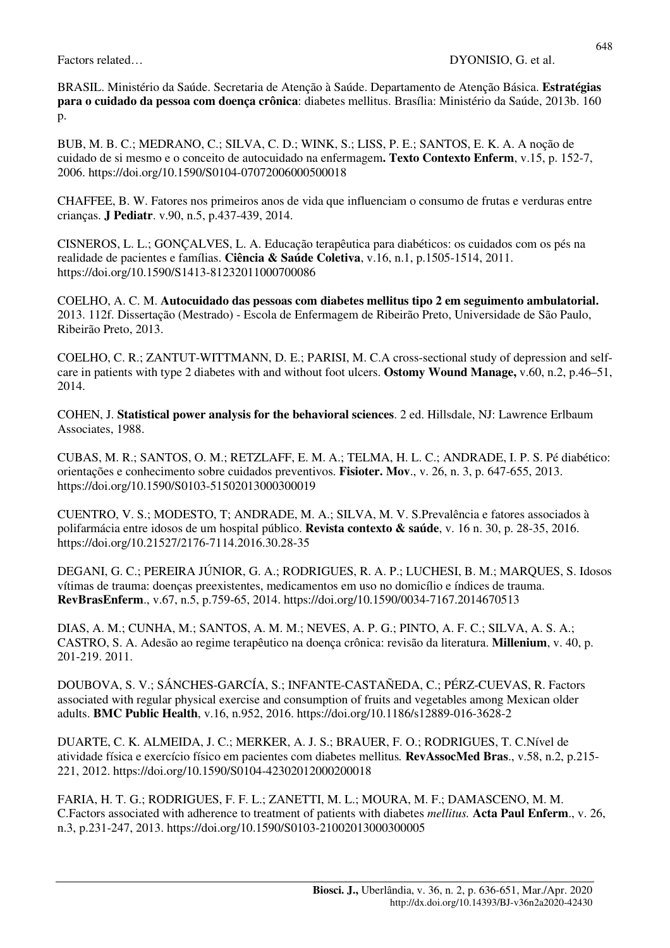BRASIL. Ministério da Saúde. Secretaria de Atenção à Saúde. Departamento de Atenção Básica. **Estratégias para o cuidado da pessoa com doença crônica**: diabetes mellitus. Brasília: Ministério da Saúde, 2013b. 160 p.

BUB, M. B. C.; MEDRANO, C.; SILVA, C. D.; WINK, S.; LISS, P. E.; SANTOS, E. K. A. A noção de cuidado de si mesmo e o conceito de autocuidado na enfermagem**. Texto Contexto Enferm**, v.15, p. 152-7, 2006. https://doi.org/10.1590/S0104-07072006000500018

CHAFFEE, B. W. Fatores nos primeiros anos de vida que influenciam o consumo de frutas e verduras entre crianças. **J Pediatr**. v.90, n.5, p.437-439, 2014.

CISNEROS, L. L.; GONÇALVES, L. A. Educação terapêutica para diabéticos: os cuidados com os pés na realidade de pacientes e famílias. **Ciência & Saúde Coletiva**, v.16, n.1, p.1505-1514, 2011. https://doi.org/10.1590/S1413-81232011000700086

COELHO, A. C. M. **Autocuidado das pessoas com diabetes mellitus tipo 2 em seguimento ambulatorial.** 2013. 112f. Dissertação (Mestrado) - Escola de Enfermagem de Ribeirão Preto, Universidade de São Paulo, Ribeirão Preto, 2013.

COELHO, C. R.; ZANTUT-WITTMANN, D. E.; PARISI, M. C.A cross-sectional study of depression and selfcare in patients with type 2 diabetes with and without foot ulcers. **Ostomy Wound Manage,** v.60, n.2, p.46–51, 2014.

COHEN, J. **Statistical power analysis for the behavioral sciences**. 2 ed. Hillsdale, NJ: Lawrence Erlbaum Associates, 1988.

CUBAS, M. R.; SANTOS, O. M.; RETZLAFF, E. M. A.; TELMA, H. L. C.; ANDRADE, I. P. S. Pé diabético: orientações e conhecimento sobre cuidados preventivos. **Fisioter. Mov**., v. 26, n. 3, p. 647-655, 2013. https://doi.org/10.1590/S0103-51502013000300019

CUENTRO, V. S.; MODESTO, T; ANDRADE, M. A.; SILVA, M. V. S.Prevalência e fatores associados à polifarmácia entre idosos de um hospital público. **Revista contexto & saúde**, v. 16 n. 30, p. 28-35, 2016. https://doi.org/10.21527/2176-7114.2016.30.28-35

DEGANI, G. C.; PEREIRA JÚNIOR, G. A.; RODRIGUES, R. A. P.; LUCHESI, B. M.; MARQUES, S. Idosos vítimas de trauma: doenças preexistentes, medicamentos em uso no domicílio e índices de trauma. **RevBrasEnferm**., v.67, n.5, p.759-65, 2014. https://doi.org/10.1590/0034-7167.2014670513

DIAS, A. M.; CUNHA, M.; SANTOS, A. M. M.; NEVES, A. P. G.; PINTO, A. F. C.; SILVA, A. S. A.; CASTRO, S. A. Adesão ao regime terapêutico na doença crônica: revisão da literatura. **Millenium**, v. 40, p. 201-219. 2011.

DOUBOVA, S. V.; SÁNCHES-GARCÍA, S.; INFANTE-CASTAÑEDA, C.; PÉRZ-CUEVAS, R. Factors associated with regular physical exercise and consumption of fruits and vegetables among Mexican older adults. **BMC Public Health**, v.16, n.952, 2016. https://doi.org/10.1186/s12889-016-3628-2

DUARTE, C. K. ALMEIDA, J. C.; MERKER, A. J. S.; BRAUER, F. O.; RODRIGUES, T. C.Nível de atividade física e exercício físico em pacientes com diabetes mellitus*.* **RevAssocMed Bras**., v.58, n.2, p.215- 221, 2012. https://doi.org/10.1590/S0104-42302012000200018

FARIA, H. T. G.; RODRIGUES, F. F. L.; ZANETTI, M. L.; MOURA, M. F.; DAMASCENO, M. M. C.Factors associated with adherence to treatment of patients with diabetes *mellitus.* **Acta Paul Enferm**., v. 26, n.3, p.231-247, 2013. https://doi.org/10.1590/S0103-21002013000300005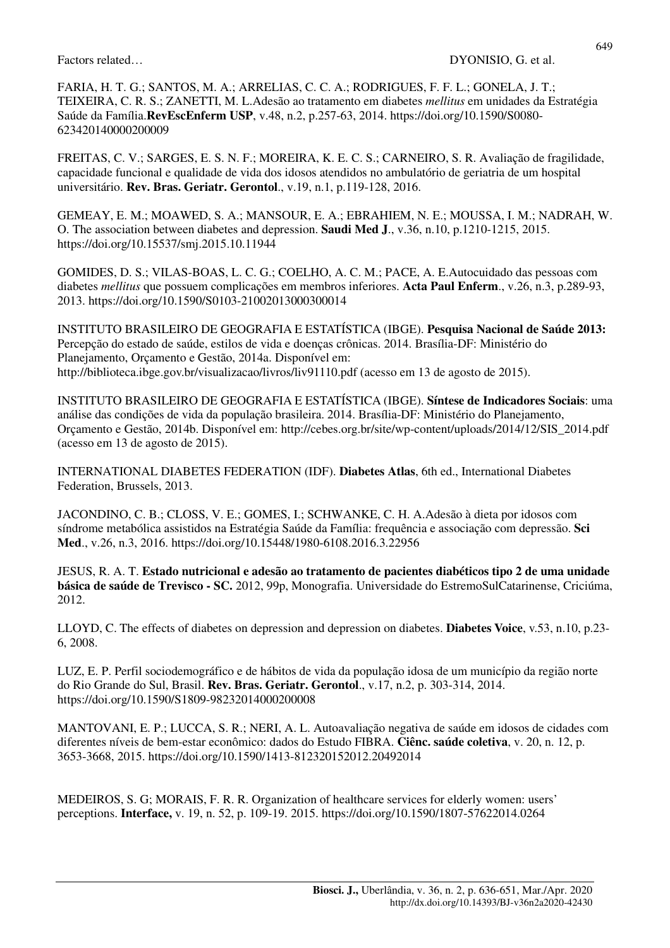FARIA, H. T. G.; SANTOS, M. A.; ARRELIAS, C. C. A.; RODRIGUES, F. F. L.; GONELA, J. T.; TEIXEIRA, C. R. S.; ZANETTI, M. L.Adesão ao tratamento em diabetes *mellitus* em unidades da Estratégia Saúde da Família.**RevEscEnferm USP**, v.48, n.2, p.257-63, 2014. https://doi.org/10.1590/S0080- 623420140000200009

FREITAS, C. V.; SARGES, E. S. N. F.; MOREIRA, K. E. C. S.; CARNEIRO, S. R. Avaliação de fragilidade, capacidade funcional e qualidade de vida dos idosos atendidos no ambulatório de geriatria de um hospital universitário. **Rev. Bras. Geriatr. Gerontol**., v.19, n.1, p.119-128, 2016.

GEMEAY, E. M.; MOAWED, S. A.; MANSOUR, E. A.; EBRAHIEM, N. E.; MOUSSA, I. M.; NADRAH, W. O. The association between diabetes and depression. **Saudi Med J**., v.36, n.10, p.1210-1215, 2015. https://doi.org/10.15537/smj.2015.10.11944

GOMIDES, D. S.; VILAS-BOAS, L. C. G.; COELHO, A. C. M.; PACE, A. E.Autocuidado das pessoas com diabetes *mellitus* que possuem complicações em membros inferiores. **Acta Paul Enferm**., v.26, n.3, p.289-93, 2013. https://doi.org/10.1590/S0103-21002013000300014

INSTITUTO BRASILEIRO DE GEOGRAFIA E ESTATÍSTICA (IBGE). **Pesquisa Nacional de Saúde 2013:**  Percepção do estado de saúde, estilos de vida e doenças crônicas. 2014. Brasília-DF: Ministério do Planejamento, Orçamento e Gestão, 2014a. Disponível em: http://biblioteca.ibge.gov.br/visualizacao/livros/liv91110.pdf (acesso em 13 de agosto de 2015).

INSTITUTO BRASILEIRO DE GEOGRAFIA E ESTATÍSTICA (IBGE). **Síntese de Indicadores Sociais**: uma análise das condições de vida da população brasileira. 2014. Brasília-DF: Ministério do Planejamento, Orçamento e Gestão, 2014b. Disponível em: http://cebes.org.br/site/wp-content/uploads/2014/12/SIS\_2014.pdf (acesso em 13 de agosto de 2015).

INTERNATIONAL DIABETES FEDERATION (IDF). **Diabetes Atlas**, 6th ed., International Diabetes Federation, Brussels, 2013.

JACONDINO, C. B.; CLOSS, V. E.; GOMES, I.; SCHWANKE, C. H. A.Adesão à dieta por idosos com síndrome metabólica assistidos na Estratégia Saúde da Família: frequência e associação com depressão. **Sci Med**., v.26, n.3, 2016. https://doi.org/10.15448/1980-6108.2016.3.22956

JESUS, R. A. T. **Estado nutricional e adesão ao tratamento de pacientes diabéticos tipo 2 de uma unidade básica de saúde de Trevisco - SC.** 2012, 99p, Monografia. Universidade do EstremoSulCatarinense, Criciúma, 2012.

LLOYD, C. The effects of diabetes on depression and depression on diabetes. **Diabetes Voice**, v.53, n.10, p.23- 6, 2008.

LUZ, E. P. Perfil sociodemográfico e de hábitos de vida da população idosa de um município da região norte do Rio Grande do Sul, Brasil. **Rev. Bras. Geriatr. Gerontol**., v.17, n.2, p. 303-314, 2014. https://doi.org/10.1590/S1809-98232014000200008

MANTOVANI, E. P.; LUCCA, S. R.; NERI, A. L. Autoavaliação negativa de saúde em idosos de cidades com diferentes níveis de bem-estar econômico: dados do Estudo FIBRA. **Ciênc. saúde coletiva**, v. 20, n. 12, p. 3653-3668, 2015. https://doi.org/10.1590/1413-812320152012.20492014

MEDEIROS, S. G; MORAIS, F. R. R. Organization of healthcare services for elderly women: users' perceptions. **Interface,** v. 19, n. 52, p. 109-19. 2015. https://doi.org/10.1590/1807-57622014.0264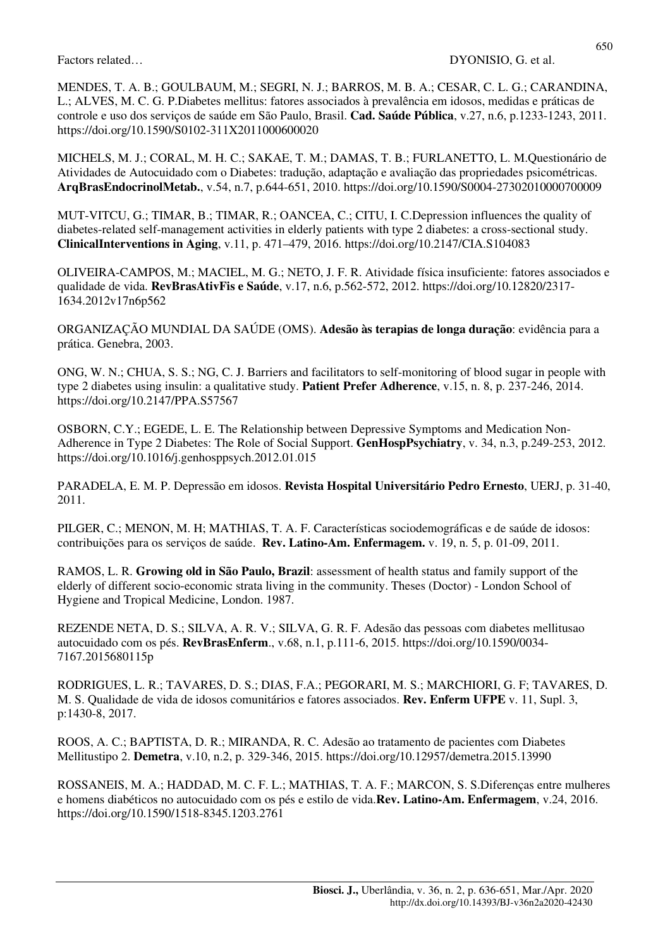MENDES, T. A. B.; GOULBAUM, M.; SEGRI, N. J.; BARROS, M. B. A.; CESAR, C. L. G.; CARANDINA, L.; ALVES, M. C. G. P.Diabetes mellitus: fatores associados à prevalência em idosos, medidas e práticas de controle e uso dos serviços de saúde em São Paulo, Brasil. **Cad. Saúde Pública**, v.27, n.6, p.1233-1243, 2011. https://doi.org/10.1590/S0102-311X2011000600020

MICHELS, M. J.; CORAL, M. H. C.; SAKAE, T. M.; DAMAS, T. B.; FURLANETTO, L. M.Questionário de Atividades de Autocuidado com o Diabetes: tradução, adaptação e avaliação das propriedades psicométricas. **ArqBrasEndocrinolMetab.**, v.54, n.7, p.644-651, 2010. https://doi.org/10.1590/S0004-27302010000700009

MUT-VITCU, G.; TIMAR, B.; TIMAR, R.; OANCEA, C.; CITU, I. C.Depression influences the quality of diabetes-related self-management activities in elderly patients with type 2 diabetes: a cross-sectional study. **ClinicalInterventions in Aging**, v.11, p. 471–479, 2016. https://doi.org/10.2147/CIA.S104083

OLIVEIRA-CAMPOS, M.; MACIEL, M. G.; NETO, J. F. R. Atividade física insuficiente: fatores associados e qualidade de vida. **RevBrasAtivFis e Saúde**, v.17, n.6, p.562-572, 2012. https://doi.org/10.12820/2317- 1634.2012v17n6p562

ORGANIZAÇÃO MUNDIAL DA SAÚDE (OMS). **Adesão às terapias de longa duração**: evidência para a prática. Genebra, 2003.

ONG, W. N.; CHUA, S. S.; NG, C. J. Barriers and facilitators to self-monitoring of blood sugar in people with type 2 diabetes using insulin: a qualitative study. **Patient Prefer Adherence**, v.15, n. 8, p. 237-246, 2014. https://doi.org/10.2147/PPA.S57567

OSBORN, C.Y.; EGEDE, L. E. The Relationship between Depressive Symptoms and Medication Non-Adherence in Type 2 Diabetes: The Role of Social Support. **GenHospPsychiatry**, v. 34, n.3, p.249-253, 2012. https://doi.org/10.1016/j.genhosppsych.2012.01.015

PARADELA, E. M. P. Depressão em idosos. **Revista Hospital Universitário Pedro Ernesto**, UERJ, p. 31-40, 2011.

PILGER, C.; MENON, M. H; MATHIAS, T. A. F. Características sociodemográficas e de saúde de idosos: contribuições para os serviços de saúde. **Rev. Latino-Am. Enfermagem.** v. 19, n. 5, p. 01-09, 2011.

RAMOS, L. R. **Growing old in São Paulo, Brazil**: assessment of health status and family support of the elderly of different socio-economic strata living in the community. Theses (Doctor) - London School of Hygiene and Tropical Medicine, London. 1987.

REZENDE NETA, D. S.; SILVA, A. R. V.; SILVA, G. R. F. Adesão das pessoas com diabetes mellitusao autocuidado com os pés. **RevBrasEnferm**., v.68, n.1, p.111-6, 2015. https://doi.org/10.1590/0034- 7167.2015680115p

RODRIGUES, L. R.; TAVARES, D. S.; DIAS, F.A.; PEGORARI, M. S.; MARCHIORI, G. F; TAVARES, D. M. S. Qualidade de vida de idosos comunitários e fatores associados. **Rev. Enferm UFPE** v. 11, Supl. 3, p:1430-8, 2017.

ROOS, A. C.; BAPTISTA, D. R.; MIRANDA, R. C. Adesão ao tratamento de pacientes com Diabetes Mellitustipo 2. **Demetra**, v.10, n.2, p. 329-346, 2015. https://doi.org/10.12957/demetra.2015.13990

ROSSANEIS, M. A.; HADDAD, M. C. F. L.; MATHIAS, T. A. F.; MARCON, S. S.Diferenças entre mulheres e homens diabéticos no autocuidado com os pés e estilo de vida.**Rev. Latino-Am. Enfermagem**, v.24, 2016. https://doi.org/10.1590/1518-8345.1203.2761

650